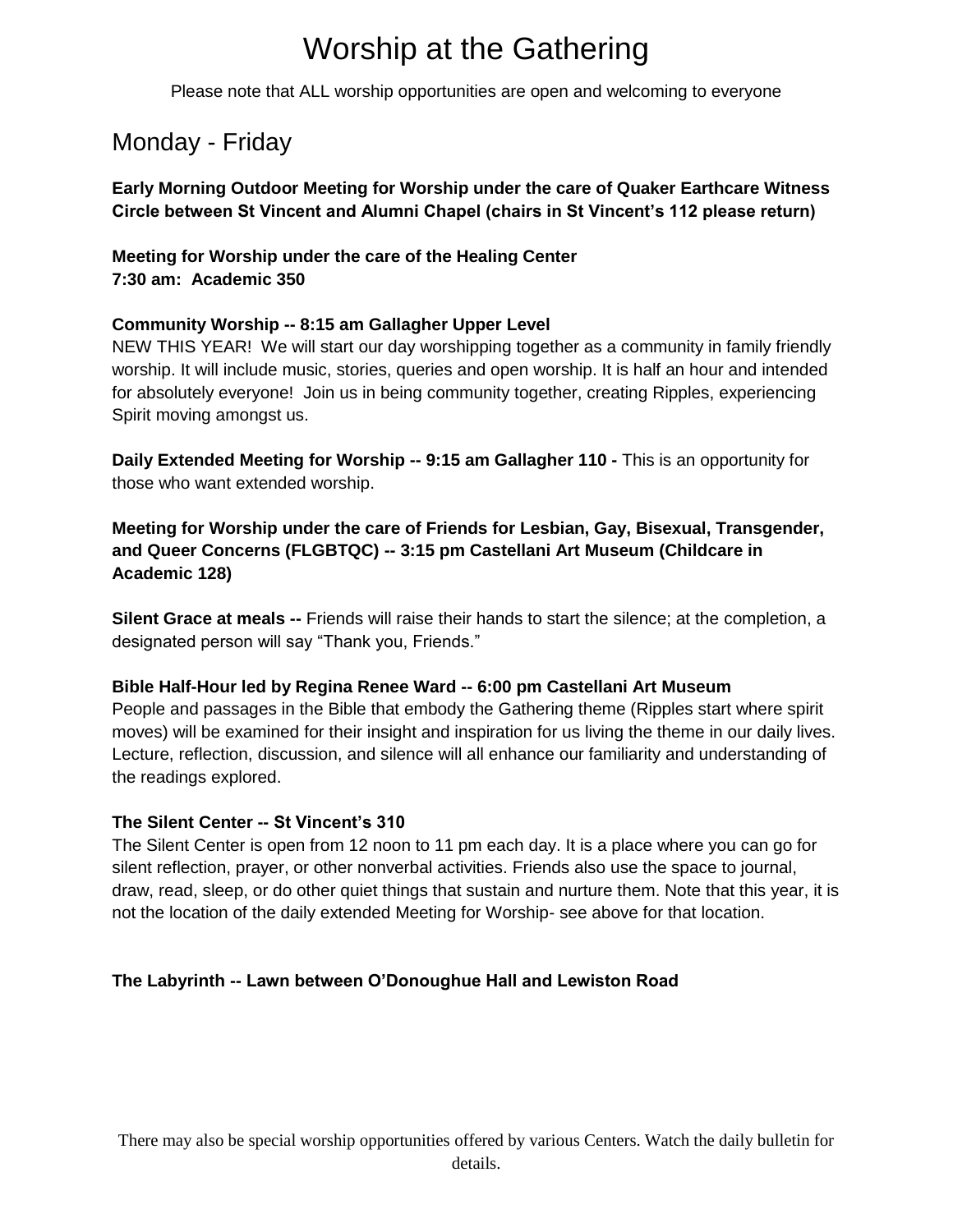# Worship at the Gathering

Please note that ALL worship opportunities are open and welcoming to everyone

# Monday - Friday

**Early Morning Outdoor Meeting for Worship under the care of Quaker Earthcare Witness Circle between St Vincent and Alumni Chapel (chairs in St Vincent's 112 please return)**

### **Meeting for Worship under the care of the Healing Center 7:30 am: Academic 350**

### **Community Worship -- 8:15 am Gallagher Upper Level**

NEW THIS YEAR! We will start our day worshipping together as a community in family friendly worship. It will include music, stories, queries and open worship. It is half an hour and intended for absolutely everyone! Join us in being community together, creating Ripples, experiencing Spirit moving amongst us.

**Daily Extended Meeting for Worship -- 9:15 am Gallagher 110 -** This is an opportunity for those who want extended worship.

**Meeting for Worship under the care of Friends for Lesbian, Gay, Bisexual, Transgender, and Queer Concerns (FLGBTQC) -- 3:15 pm Castellani Art Museum (Childcare in Academic 128)**

**Silent Grace at meals --** Friends will raise their hands to start the silence; at the completion, a designated person will say "Thank you, Friends."

#### **Bible Half-Hour led by Regina Renee Ward -- 6:00 pm Castellani Art Museum**

People and passages in the Bible that embody the Gathering theme (Ripples start where spirit moves) will be examined for their insight and inspiration for us living the theme in our daily lives. Lecture, reflection, discussion, and silence will all enhance our familiarity and understanding of the readings explored.

#### **The Silent Center -- St Vincent's 310**

The Silent Center is open from 12 noon to 11 pm each day. It is a place where you can go for silent reflection, prayer, or other nonverbal activities. Friends also use the space to journal, draw, read, sleep, or do other quiet things that sustain and nurture them. Note that this year, it is not the location of the daily extended Meeting for Worship- see above for that location.

## **The Labyrinth -- Lawn between O'Donoughue Hall and Lewiston Road**